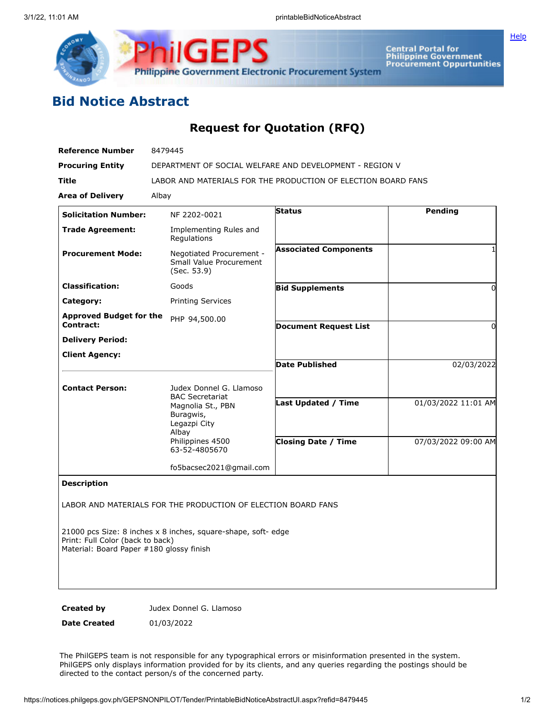



Central Portal for<br>Philippine Government<br>Procurement Oppurtunities

## **Bid Notice Abstract**

## **Request for Quotation (RFQ)**

| <b>Reference Number</b>                     | 8479445                                                                                                                                           |                              |                     |
|---------------------------------------------|---------------------------------------------------------------------------------------------------------------------------------------------------|------------------------------|---------------------|
| <b>Procuring Entity</b>                     | DEPARTMENT OF SOCIAL WELFARE AND DEVELOPMENT - REGION V                                                                                           |                              |                     |
| <b>Title</b>                                | LABOR AND MATERIALS FOR THE PRODUCTION OF ELECTION BOARD FANS                                                                                     |                              |                     |
| <b>Area of Delivery</b>                     | Albay                                                                                                                                             |                              |                     |
| <b>Solicitation Number:</b>                 | NF 2202-0021                                                                                                                                      | <b>Status</b>                | Pendina             |
| <b>Trade Agreement:</b>                     | Implementing Rules and<br>Regulations                                                                                                             |                              |                     |
| <b>Procurement Mode:</b>                    | Negotiated Procurement -<br>Small Value Procurement<br>(Sec. 53.9)                                                                                | <b>Associated Components</b> | 1                   |
| <b>Classification:</b>                      | Goods                                                                                                                                             | <b>Bid Supplements</b>       | 0                   |
| Category:                                   | <b>Printing Services</b>                                                                                                                          |                              |                     |
| <b>Approved Budget for the</b><br>Contract: | PHP 94,500.00                                                                                                                                     | <b>Document Request List</b> | $\Omega$            |
| <b>Delivery Period:</b>                     |                                                                                                                                                   |                              |                     |
| <b>Client Agency:</b>                       |                                                                                                                                                   |                              |                     |
|                                             |                                                                                                                                                   | <b>Date Published</b>        | 02/03/2022          |
| <b>Contact Person:</b>                      | Judex Donnel G. Llamoso<br><b>BAC Secretariat</b><br>Magnolia St., PBN<br>Buragwis,<br>Legazpi City<br>Albay<br>Philippines 4500<br>63-52-4805670 |                              |                     |
|                                             |                                                                                                                                                   | <b>Last Updated / Time</b>   | 01/03/2022 11:01 AM |
|                                             |                                                                                                                                                   | <b>Closing Date / Time</b>   | 07/03/2022 09:00 AM |
|                                             | fo5bacsec2021@gmail.com                                                                                                                           |                              |                     |
| <b>Description</b>                          |                                                                                                                                                   |                              |                     |

LABOR AND MATERIALS FOR THE PRODUCTION OF ELECTION BOARD FANS

21000 pcs Size: 8 inches x 8 inches, square-shape, soft- edge Print: Full Color (back to back) Material: Board Paper #180 glossy finish

**Created by** Judex Donnel G. Llamoso

**Date Created** 01/03/2022

The PhilGEPS team is not responsible for any typographical errors or misinformation presented in the system. PhilGEPS only displays information provided for by its clients, and any queries regarding the postings should be directed to the contact person/s of the concerned party.